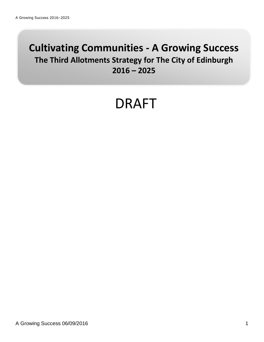# **Cultivating Communities - A Growing Success The Third Allotments Strategy for The City of Edinburgh 2016 – 2025**

# DRAFT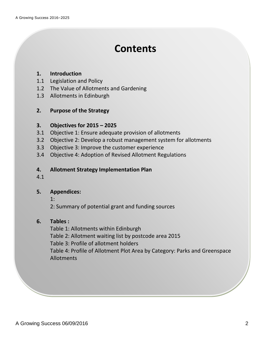# **Contents**

### **1. Introduction**

- 1.1 Legislation and Policy
- 1.2 The Value of Allotments and Gardening
- 1.3 Allotments in Edinburgh

# **2. Purpose of the Strategy**

# **3. Objectives for 2015 – 2025**

- 3.1 Objective 1: Ensure adequate provision of allotments
- 3.2 Objective 2: Develop a robust management system for allotments
- 3.3 Objective 3: Improve the customer experience
- 3.4 Objective 4: Adoption of Revised Allotment Regulations

## **4. Allotment Strategy Implementation Plan**

4.1

# **5. Appendices:**

1:

2: Summary of potential grant and funding sources

## **6. Tables :**

Table 1: Allotments within Edinburgh Table 2: Allotment waiting list by postcode area 2015 Table 3: Profile of allotment holders Table 4: Profile of Allotment Plot Area by Category: Parks and Greenspace Allotments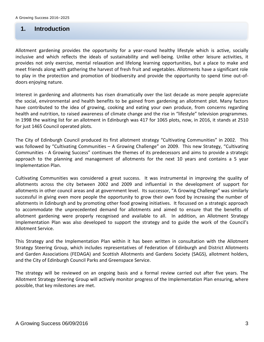# **2. 1. Introduction**

Allotment gardening provides the opportunity for a year-round healthy lifestyle which is active, socially inclusive and which reflects the ideals of sustainability and well-being. Unlike other leisure activities, it provides not only exercise, mental relaxation and lifelong learning opportunities, but a place to make and meet friends along with gathering the harvest of fresh fruit and vegetables. Allotments have a significant role to play in the protection and promotion of biodiversity and provide the opportunity to spend time out-ofdoors enjoying nature.

Interest in gardening and allotments has risen dramatically over the last decade as more people appreciate the social, environmental and health benefits to be gained from gardening an allotment plot. Many factors have contributed to the idea of growing, cooking and eating your own produce, from concerns regarding health and nutrition, to raised awareness of climate change and the rise in "lifestyle" television programmes. In 1998 the waiting list for an allotment in Edinburgh was 417 for 1065 plots, now, in 2016, it stands at 2510 for just 1465 Council operated plots.

The City of Edinburgh Council produced its first allotment strategy "Cultivating Communities" in 2002. This was followed by "Cultivating Communities – A Growing Challenge" on 2009. This new Strategy, "Cultivating Communities - A Growing Success" continues the themes of its predecessors and aims to provide a strategic approach to the planning and management of allotments for the next 10 years and contains a 5 year Implementation Plan.

Cultivating Communities was considered a great success. It was instrumental in improving the quality of allotments across the city between 2002 and 2009 and influential in the development of support for allotments in other council areas and at government level. Its successor, "A Growing Challenge" was similarly successful in giving even more people the opportunity to grow their own food by increasing the number of allotments in Edinburgh and by promoting other food growing initiatives. It focussed on a strategic approach to accommodate the unprecedented demand for allotments and aimed to ensure that the benefits of allotment gardening were properly recognised and available to all. In addition, an Allotment Strategy Implementation Plan was also developed to support the strategy and to guide the work of the Council's Allotment Service.

This Strategy and the Implementation Plan within it has been written in consultation with the Allotment Strategy Steering Group, which includes representatives of Federation of Edinburgh and District Allotments and Garden Associations (FEDAGA) and Scottish Allotments and Gardens Society (SAGS), allotment holders, and the City of Edinburgh Council Parks and Greenspace Service.

The strategy will be reviewed on an ongoing basis and a formal review carried out after five years. The Allotment Strategy Steering Group will actively monitor progress of the Implementation Plan ensuring, where possible, that key milestones are met.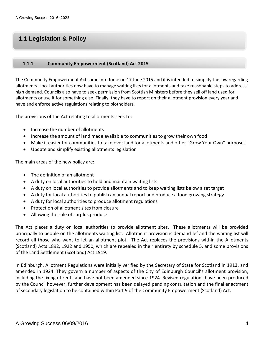# **3. 1.1 Legislation & Policy**

#### **1.1.1 Community Empowerment (Scotland) Act 2015**

The Community Empowerment Act came into force on 17 June 2015 and it is intended to simplify the law regarding allotments. Local authorities now have to manage waiting lists for allotments and take reasonable steps to address high demand. Councils also have to seek permission from Scottish Ministers before they sell off land used for allotments or use it for something else. Finally, they have to report on their allotment provision every year and have and enforce active regulations relating to plotholders.

The provisions of the Act relating to allotments seek to:

- Increase the number of allotments
- Increase the amount of land made available to communities to grow their own food
- Make it easier for communities to take over land for allotments and other "Grow Your Own" purposes
- Update and simplify existing allotments legislation

The main areas of the new policy are:

- The definition of an allotment
- A duty on local authorities to hold and maintain waiting lists
- A duty on local authorities to provide allotments and to keep waiting lists below a set target
- A duty for local authorities to publish an annual report and produce a food growing strategy
- A duty for local authorities to produce allotment regulations
- Protection of allotment sites from closure
- Allowing the sale of surplus produce

The Act places a duty on local authorities to provide allotment sites. These allotments will be provided principally to people on the allotments waiting list. Allotment provision is demand lef and the waiting list will record all those who want to let an allotment plot. The Act replaces the provisions within the Allotments (Scotland) Acts 1892, 1922 and 1950, which are repealed in their entirety by schedule 5, and some provisions of the Land Settlement (Scotland) Act 1919.

In Edinburgh, Allotment Regulations were initially verified by the Secretary of State for Scotland in 1913, and amended in 1924. They govern a number of aspects of the City of Edinburgh Council's allotment provision, including the fixing of rents and have not been amended since 1924. Revised regulations have been produced by the Council however, further development has been delayed pending consultation and the final enactment of secondary legislation to be contained within Part 9 of the Community Empowerment (Scotland) Act.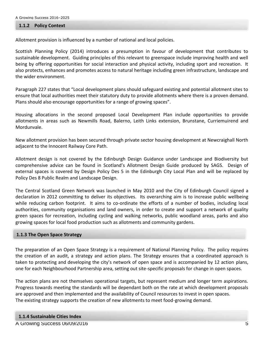#### **1.1.2 Policy Context**

Allotment provision is influenced by a number of national and local policies.

Scottish Planning Policy (2014) introduces a presumption in favour of development that contributes to sustainable development. Guiding principles of this relevant to greenspace include improving health and well being by offering opportunities for social interaction and physical activity, including sport and recreation. It also protects, enhances and promotes access to natural heritage including green infrastructure, landscape and the wider environment.

Paragraph 227 states that "Local development plans should safeguard existing and potential allotment sites to ensure that local authorities meet their statutory duty to provide allotments where there is a proven demand. Plans should also encourage opportunities for a range of growing spaces".

Housing allocations in the second proposed Local Development Plan include opportunities to provide allotments in areas such as Newmills Road, Balerno, Leith Links extension, Brunstane, Curriemuirend and Mordunvale.

New allotment provision has been secured through private sector housing development at Newcraighall North adjacent to the Innocent Railway Core Path.

Allotment design is not covered by the Edinburgh Design Guidance under Landscape and Biodiversity but comprehensive advice can be found in Scotland's Allotment Design Guide produced by SAGS. Design of external spaces is covered by Design Policy Des 5 in the Edinburgh City Local Plan and will be replaced by Policy Des 8 Public Realm and Landscape Design.

The Central Scotland Green Network was launched in May 2010 and the City of Edinburgh Council signed a declaration in 2012 committing to deliver its objectives. Its overarching aim is to increase public wellbeing while reducing carbon footprint. It aims to co-ordinate the efforts of a number of bodies, including local authorities, community organisations and land owners, in order to create and support a network of quality green spaces for recreation, including cycling and walking networks, public woodland areas, parks and also growing spaces for local food production such as allotments and community gardens.

#### **1.1.3 The Open Space Strategy**

The preparation of an Open Space Strategy is a requirement of National Planning Policy. The policy requires the creation of an audit, a strategy and action plans. The Strategy ensures that a coordinated approach is taken to protecting and developing the city's network of open space and is accompanied by 12 action plans, one for each Neighbourhood Partnership area, setting out site-specific proposals for change in open spaces.

The action plans are not themselves operational targets, but represent medium and longer term aspirations. Progress towards meeting the standards will be dependant both on the rate at which development proposals are approved and then implemented and the availability of Council resources to invest in open spaces. The existing strategy supports the creation of new allotments to meet food-growing demand.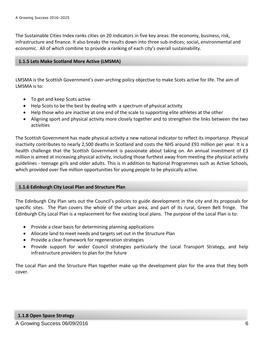The Sustainable Cities Index ranks cities on 20 indicators in five key areas: the economy, business, risk, infrastructure and finance. It also breaks the results down into three sub-indices; social, environmental and economic. All of which combine to provide a ranking of each city's overall sustainability.

#### **1.1.5 Lets Make Scotland More Active (LMSMA)**

LMSMA is the Scottish Government's over-arching policy objective to make Scots active for life. The aim of LMSMA is to:

- To get and keep Scots active
- Help Scots to be the best by dealing with a spectrum of physical activity
- Help those who are inactive at one end of the scale to supporting elite athletes at the other
- Aligning sport and physical activity more closely together and to strengthen the links between the two activities

The Scottish Government has made physical activity a new national indicator to reflect its importance. Physical inactivity contributes to nearly 2,500 deaths in Scotland and costs the NHS around £91 million per year. It is a health challenge that the Scottish Government is passionate about taking on. An annual investment of £3 million is aimed at increasing physical activity, including those furthest away from meeting the physical activity guidelines - teenage girls and older adults. This is in addition to National Programmes such as Active Schools, which provided over five million opportunities for young people to be physically active.

#### **1.1.6 Edinburgh City Local Plan and Structure Plan**

The Edinburgh City Plan sets out the Council's policies to guide development in the city and its proposals for specific sites. The Plan covers the whole of the urban area, and part of its rural, Green Belt fringe. The Edinburgh City Local Plan is a replacement for five existing local plans. The purpose of the Local Plan is to:

- Provide a clear basis for determining planning applications
- Allocate land to meet needs and targets set out in the Structure Plan
- Provide a clear framework for regeneration strategies
- Provide support for wider Council strategies particularly the Local Transport Strategy, and help infrastructure providers to plan for the future

The Local Plan and the Structure Plan together make up the development plan for the area that they both cover.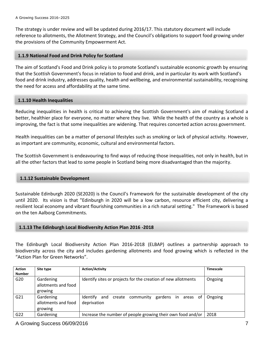The strategy is under review and will be updated during 2016/17. This statutory document will include reference to allotments, the Allotment Strategy, and the Council's obligations to support food growing under the provisions of the Community Empowerment Act.

#### **1.1.9 National Food and Drink Policy for Scotland**

The aim of Scotland's Food and Drink policy is to promote Scotland's sustainable economic growth by ensuring that the Scottish Government's focus in relation to food and drink, and in particular its work with Scotland's food and drink industry, addresses quality, health and wellbeing, and environmental sustainability, recognising the need for access and affordability at the same time.

#### **1.1.10 Health Inequalities**

Reducing inequalities in health is critical to achieving the Scottish Government's aim of making Scotland a better, healthier place for everyone, no matter where they live. While the health of the country as a whole is improving, the fact is that some inequalities are widening. That requires concerted action across government.

Health inequalities can be a matter of personal lifestyles such as smoking or lack of physical activity. However, as important are community, economic, cultural and environmental factors.

The Scottish Government is endeavouring to find ways of reducing those inequalities, not only in health, but in all the other factors that lead to some people in Scotland being more disadvantaged than the majority.

#### **1.1.12 Sustainable Development**

Sustainable Edinburgh 2020 (SE2020) is the Council's Framework for the sustainable development of the city until 2020. Its vision is that "Edinburgh in 2020 will be a low carbon, resource efficient city, delivering a resilient local economy and vibrant flourishing communities in a rich natural setting." The Framework is based on the ten Aalborg Commitments.

#### **1.1.13 The Edinburgh Local Biodiversity Action Plan 2016 -2018**

The Edinburgh Local Biodiversity Action Plan 2016-2018 (ELBAP) outlines a partnership approach to biodiversity across the city and includes gardening allotments and food growing which is reflected in the "Action Plan for Green Networks".

| <b>Action</b><br><b>Number</b> | Site type                                   | <b>Action/Activity</b>                                              | <b>Timescale</b> |
|--------------------------------|---------------------------------------------|---------------------------------------------------------------------|------------------|
| G20                            | Gardening<br>allotments and food<br>growing | Identify sites or projects for the creation of new allotments       | Ongoing          |
| G21                            | Gardening<br>allotments and food<br>growing | Identify and create community gardens in<br>areas of<br>deprivation | Ongoing          |
| G <sub>22</sub>                | Gardening                                   | Increase the number of people growing their own food and/or         | 2018             |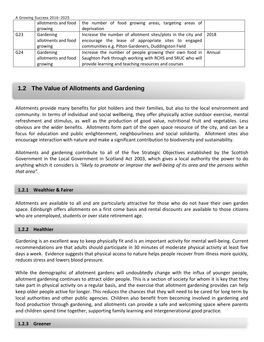|                 | A Growing Success 2016-2025 |                                                                            |        |
|-----------------|-----------------------------|----------------------------------------------------------------------------|--------|
|                 |                             | allotments and food   the number of food growing areas, targeting areas of |        |
|                 | growing                     | deprivation                                                                |        |
| G <sub>23</sub> | Gardening                   | Increase the number of allotment sites/plots in the city and               | 2018   |
|                 | allotments and food         | encourage the lease of appropriate sites to engaged                        |        |
|                 | growing                     | communities e.g. Pilton Gardeners, Duddingston Field                       |        |
| G <sub>24</sub> | Gardening                   | Increase the number of people growing their own food in                    | Annual |
|                 | allotments and food         | Saughton Park through working with RCHS and SRUC who will                  |        |
|                 | growing                     | provide learning and teaching resources and courses                        |        |

# **1.2 The Value of Allotments and Gardening**

Allotments provide many benefits for plot holders and their families, but also to the local environment and community. In terms of individual and social wellbeing, they offer physically active outdoor exercise, mental refreshment and stimulus, as well as the production of good value, nutritional fruit and vegetables. Less obvious are the wider benefits. Allotments form part of the open space resource of the city, and can be a focus for education and public enlightenment, neighbourliness and social solidarity. Allotment sites also encourage interaction with nature and make a significant contribution to biodiversity and sustainability.

Allotments and gardening contribute to all of the five Strategic Objectives established by the Scottish Government in the Local Government in Scotland Act 2003, which gives a local authority the power to do anything which it considers is *"likely to promote or improve the well-being of its area and the persons within that area".*

#### **1.2.1 Wealthier & Fairer**

Allotments are available to all and are particularly attractive for those who do not have their own garden space. Edinburgh offers allotments on a first come basis and rental discounts are available to those citizens who are unemployed, students or over state retirement age.

#### **1.2.2 Healthier**

Gardening is an excellent way to keep physically fit and is an important activity for mental well-being. Current recommendations are that adults should participate in 30 minutes of moderate physical activity at least five days a week. Evidence suggests that physical access to nature helps people recover from illness more quickly, reduces stress and lowers blood pressure.

While the demographic of allotment gardens will undoubtedly change with the influx of younger people, allotment gardening continues to attract older people. This is a section of society for whom it is key that they take part in physical activity on a regular basis, and the exercise that allotment gardening provides can help keep older people active for longer. This reduces the chances that they will need to be cared for long term by local authorities and other public agencies. Children also benefit from becoming involved in gardening and food production through gardening, and allotments can provide a safe and welcoming space where parents and children spend time together, supporting family learning and intergenerational good practice.

#### A Growing Success 06/09/2016 8 **1.2.3 Greener**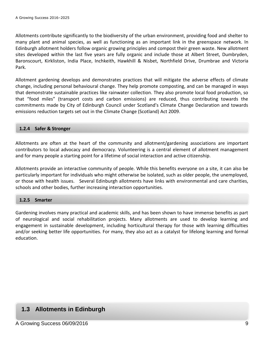Allotments contribute significantly to the biodiversity of the urban environment, providing food and shelter to many plant and animal species, as well as functioning as an important link in the greenspace network. In Edinburgh allotment holders follow organic growing principles and compost their green waste. New allotment sites developed within the last five years are fully organic and include those at Albert Street, Dumbryden, Baronscourt, Kirkliston, India Place, Inchkeith, Hawkhill & Nisbet, Northfield Drive, Drumbrae and Victoria Park.

Allotment gardening develops and demonstrates practices that will mitigate the adverse effects of climate change, including personal behavioural change. They help promote composting, and can be managed in ways that demonstrate sustainable practices like rainwater collection. They also promote local food production, so that "food miles" (transport costs and carbon emissions) are reduced, thus contributing towards the commitments made by City of Edinburgh Council under Scotland's Climate Change Declaration and towards emissions reduction targets set out in the Climate Change (Scotland) Act 2009.

#### **1.2.4 Safer & Stronger**

Allotments are often at the heart of the community and allotment/gardening associations are important contributors to local advocacy and democracy. Volunteering is a central element of allotment management and for many people a starting point for a lifetime of social interaction and active citizenship.

Allotments provide an interactive community of people. While this benefits everyone on a site, it can also be particularly important for individuals who might otherwise be isolated, such as older people, the unemployed, or those with health issues. Several Edinburgh allotments have links with environmental and care charities, schools and other bodies, further increasing interaction opportunities.

#### **1.2.5 Smarter**

Gardening involves many practical and academic skills, and has been shown to have immense benefits as part of neurological and social rehabilitation projects. Many allotments are used to develop learning and engagement in sustainable development, including horticultural therapy for those with learning difficulties and/or seeking better life opportunities. For many, they also act as a catalyst for lifelong learning and formal education.

# **1.3 Allotments in Edinburgh**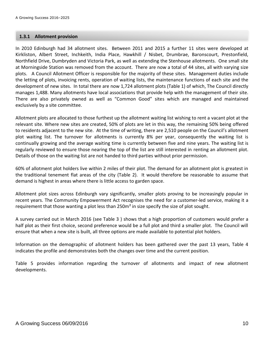#### **1.3.1 Allotment provision**

In 2010 Edinburgh had 34 allotment sites. Between 2011 and 2015 a further 11 sites were developed at Kirkliston, Albert Street, Inchkeith, India Place, Hawkhill / Nisbet, Drumbrae, Baronscourt, Prestonfield, Northfield Drive, Dumbryden and Victoria Park, as well as extending the Stenhouse allotments. One small site at Morningside Station was removed from the account. There are now a total of 44 sites, all with varying size plots. A Council Allotment Officer is responsible for the majority of these sites. Management duties include the letting of plots, invoicing rents, operation of waiting lists, the maintenance functions of each site and the development of new sites. In total there are now 1,724 allotment plots (Table 1) of which, The Council directly manages 1,488. Many allotments have local associations that provide help with the management of their site. There are also privately owned as well as "Common Good" sites which are managed and maintained exclusively by a site committee.

Allotment plots are allocated to those furthest up the allotment waiting list wishing to rent a vacant plot at the relevant site. Where new sites are created, 50% of plots are let in this way, the remaining 50% being offered to residents adjacent to the new site. At the time of writing, there are 2,510 people on the Council's allotment plot waiting list. The turnover for allotments is currently 8% per year, consequently the waiting list is continually growing and the average waiting time is currently between five and nine years. The waiting list is regularly reviewed to ensure those nearing the top of the list are still interested in renting an allotment plot. Details of those on the waiting list are not handed to third parties without prior permission.

60% of allotment plot holders live within 2 miles of their plot. The demand for an allotment plot is greatest in the traditional tenement flat areas of the city (Table 2). It would therefore be reasonable to assume that demand is highest in areas where there is little access to garden space.

Allotment plot sizes across Edinburgh vary significantly, smaller plots proving to be increasingly popular in recent years. The Community Empowerment Act recognises the need for a customer-led service, making it a requirement that those wanting a plot less than 250m<sup>2</sup> in size specify the size of plot sought.

A survey carried out in March 2016 (see Table 3 ) shows that a high proportion of customers would prefer a half plot as their first choice, second preference would be a full plot and third a smaller plot. The Council will ensure that when a new site is built, all three options are made available to potential plot holders.

Information on the demographic of allotment holders has been gathered over the past 13 years, Table 4 indicates the profile and demonstrates both the changes over time and the current position.

Table 5 provides information regarding the turnover of allotments and impact of new allotment developments.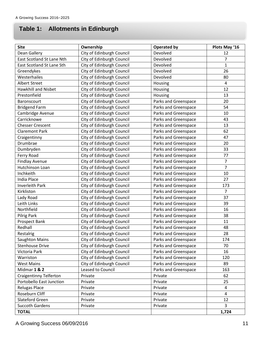# **4. Table 1: Allotments in Edinburgh**

| <b>Site</b>                   | Ownership                 | <b>Operated by</b>   | Plots May '16  |
|-------------------------------|---------------------------|----------------------|----------------|
| Dean Gallery                  | City of Edinburgh Council | Devolved             | 12             |
| East Scotland St Lane Nth     | City of Edinburgh Council | Devolved             | $\overline{7}$ |
| East Scotland St Lane Sth     | City of Edinburgh Council | Devolved             | $\mathbf{1}$   |
| Greendykes                    | City of Edinburgh Council | Devolved             | 26             |
| Westerhailes                  | City of Edinburgh Council | Devolved             | 80             |
| <b>Albert Street</b>          | City of Edinburgh Council | Housing              | 4              |
| <b>Hawkhill and Nisbet</b>    | City of Edinburgh Council | Housing              | 12             |
| Prestonfield                  | City of Edinburgh Council | Housing              | 13             |
| Baronscourt                   | City of Edinburgh Council | Parks and Greenspace | 20             |
| <b>Bridgend Farm</b>          | City of Edinburgh Council | Parks and Greenspace | 54             |
| Cambridge Avenue              | City of Edinburgh Council | Parks and Greenspace | 10             |
| Carricknowe                   | City of Edinburgh Council | Parks and Greenspace | 43             |
| <b>Chesser Crescent</b>       | City of Edinburgh Council | Parks and Greenspace | 13             |
| <b>Claremont Park</b>         | City of Edinburgh Council | Parks and Greenspace | 62             |
| Craigentinny                  | City of Edinburgh Council | Parks and Greenspace | 47             |
| Drumbrae                      | City of Edinburgh Council | Parks and Greenspace | 20             |
| Dumbryden                     | City of Edinburgh Council | Parks and Greenspace | 33             |
| Ferry Road                    | City of Edinburgh Council | Parks and Greenspace | 77             |
| <b>Findlay Avenue</b>         | City of Edinburgh Council | Parks and Greenspace | $\overline{7}$ |
| Hutchinson Loan               | City of Edinburgh Council | Parks and Greenspace | $\overline{7}$ |
| Inchkeith                     | City of Edinburgh Council | Parks and Greenspace | 10             |
| India Place                   | City of Edinburgh Council | Parks and Greenspace | 27             |
| <b>Inverleith Park</b>        | City of Edinburgh Council | Parks and Greenspace | 173            |
| Kirkliston                    | City of Edinburgh Council | Parks and Greenspace | $\overline{7}$ |
| Lady Road                     | City of Edinburgh Council | Parks and Greenspace | 37             |
| Leith Links                   | City of Edinburgh Council | Parks and Greenspace | 39             |
| Northfield                    | City of Edinburgh Council | Parks and Greenspace | 16             |
| <b>Pilrig Park</b>            | City of Edinburgh Council | Parks and Greenspace | 38             |
| Prospect Bank                 | City of Edinburgh Council | Parks and Greenspace | 11             |
| Redhall                       | City of Edinburgh Council | Parks and Greenspace | 48             |
| Restalrig                     | City of Edinburgh Council | Parks and Greenspace | 28             |
| <b>Saughton Mains</b>         | City of Edinburgh Council | Parks and Greenspace | 174            |
| <b>Stenhouse Drive</b>        | City of Edinburgh Council | Parks and Greenspace | 70             |
| Victoria Park                 | City of Edinburgh Council | Parks and Greenspace | 16             |
| Warriston                     | City of Edinburgh Council | Parks and Greenspace | 120            |
| <b>West Mains</b>             | City of Edinburgh Council | Parks and Greenspace | 89             |
| Midmar 1 & 2                  | Leased to Council         | Parks and Greenspace | 163            |
| <b>Craigentinny Telferton</b> | Private                   | Private              | 62             |
| Portobello East Junction      | Private                   | Private              | 25             |
| Relugas Place                 | Private                   | Private              | 4              |
| Roseburn Cliff                | Private                   | Private              | 4              |
| Slateford Green               | Private                   | Private              | 12             |
| <b>Succoth Gardens</b>        | Private                   | Private              | 3              |
| <b>TOTAL</b>                  |                           |                      | 1,724          |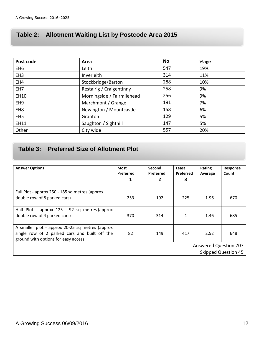# **7. Table 2: Allotment Waiting List by Postcode Area 2015**

| Post code       | Area                       | No  | %age |
|-----------------|----------------------------|-----|------|
| EH <sub>6</sub> | Leith                      | 547 | 19%  |
| EH <sub>3</sub> | Inverleith                 | 314 | 11%  |
| EH4             | Stockbridge/Barton         | 288 | 10%  |
| EH <sub>7</sub> | Restalrig / Craigentinny   | 258 | 9%   |
| EH10            | Morningside / Fairmilehead | 256 | 9%   |
| EH <sub>9</sub> | Marchmont / Grange         | 191 | 7%   |
| EH <sub>8</sub> | Newington / Mountcastle    | 158 | 6%   |
| EH <sub>5</sub> | Granton                    | 129 | 5%   |
| <b>EH11</b>     | Saughton / Sighthill       | 147 | 5%   |
| Other           | City wide                  | 557 | 20%  |

# **5. Table 3: Preferred Size of Allotment Plot**

| <b>Answer Options</b>                                                                                                                   | Most<br><b>Preferred</b>     | Second<br>Preferred | Least<br>Preferred | Rating<br>Average | Response<br>Count |  |  |  |
|-----------------------------------------------------------------------------------------------------------------------------------------|------------------------------|---------------------|--------------------|-------------------|-------------------|--|--|--|
|                                                                                                                                         | 1                            | 2                   | 3                  |                   |                   |  |  |  |
| Full Plot - approx 250 - 185 sq metres (approx<br>double row of 8 parked cars)                                                          | 253                          | 192                 | 225                | 1.96              | 670               |  |  |  |
| Half Plot - approx 125 - 92 sq metres (approx<br>double row of 4 parked cars)                                                           | 370                          | 314                 | 1                  | 1.46              | 685               |  |  |  |
| A smaller plot - approx 20-25 sq metres (approx<br>single row of 2 parked cars and built off the<br>ground with options for easy access | 82                           | 149                 | 417                | 2.52              | 648               |  |  |  |
|                                                                                                                                         | <b>Answered Question 707</b> |                     |                    |                   |                   |  |  |  |
| <b>Skipped Question 45</b>                                                                                                              |                              |                     |                    |                   |                   |  |  |  |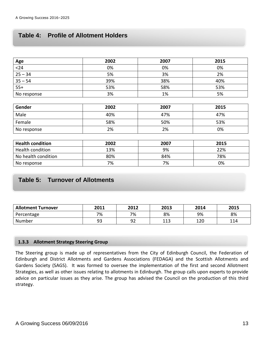# **8. Table 4: Profile of Allotment Holders**

|                          | 2002 | 2007 | 2015 |
|--------------------------|------|------|------|
| $\frac{\text{Age}}{<}24$ | 0%   | 0%   | 0%   |
| $25 - 34$                | 5%   | 3%   | 2%   |
| $35 - 54$                | 39%  | 38%  | 40%  |
| $\frac{1}{55+1}$         | 53%  | 58%  | 53%  |
| No response              | 3%   | 1%   | 5%   |

| Gender      | 2002 | 2007 | 2015 |
|-------------|------|------|------|
| Male        | 40%  | 47%  | 47%  |
| Female      | 58%  | 50%  | 53%  |
| No response | 2%   | 2%   | 0%   |

| <b>Health condition</b> | 2002 | 2007 | 2015 |
|-------------------------|------|------|------|
| Health condition        | 13%  | 9%   | 22%  |
| No health condition     | 80%  | 84%  | 78%  |
| No response             | 7%   | 7%   | 0%   |

# **Table 5: Turnover of Allotments**

| <b>Allotment Turnover</b> | 2011 | 2012     | 2013       | 2014 | 2015 |
|---------------------------|------|----------|------------|------|------|
| Percentage                | 7%   | 7%       | 8%         | 9%   | 8%   |
| Number                    | 93   | ດາ<br>⊃∠ | 11つ<br>ᆂᆂᇦ | 120  | 114  |

#### **1.3.3 Allotment Strategy Steering Group**

The Steering group is made up of representatives from the City of Edinburgh Council, the Federation of Edinburgh and District Allotments and Gardens Associations (FEDAGA) and the Scottish Allotments and Gardens Society (SAGS). It was formed to oversee the implementation of the first and second Allotment Strategies, as well as other issues relating to allotments in Edinburgh. The group calls upon experts to provide advice on particular issues as they arise. The group has advised the Council on the production of this third strategy.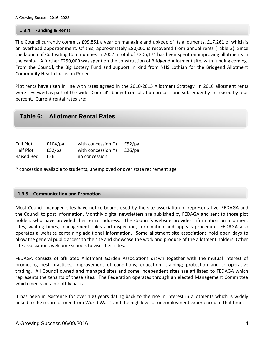#### **1.3.4 Funding & Rents**

The Council currently commits £99,851 a year on managing and upkeep of its allotments, £17,261 of which is an overhead apportionment. Of this, approximately £80,000 is recovered from annual rents (Table 3). Since the launch of Cultivating Communities in 2002 a total of £306,174 has been spent on improving allotments in the capital. A further £250,000 was spent on the construction of Bridgend Allotment site, with funding coming From the Council, the Big Lottery Fund and support in kind from NHS Lothian for the Bridgend Allotment Community Health Inclusion Project.

Plot rents have risen in line with rates agreed in the 2010-2015 Allotment Strategy. In 2016 allotment rents were reviewed as part of the wider Council's budget consultation process and subsequently increased by four percent. Current rental rates are:

#### **Table 6: Allotment Rental Rates**

| Full Plot<br>Half Plot<br>Raised Bed                                        | £104/pa<br>£52/pa<br>£26 | with concession(*)<br>with concession(*)<br>no concession | £52/pa<br>£26/pa |  |  |  |  |
|-----------------------------------------------------------------------------|--------------------------|-----------------------------------------------------------|------------------|--|--|--|--|
| * concession available to students, unemployed or over state retirement age |                          |                                                           |                  |  |  |  |  |

#### **1.3.5 Communication and Promotion**

Most Council managed sites have notice boards used by the site association or representative, FEDAGA and the Council to post information. Monthly digital newsletters are published by FEDAGA and sent to those plot holders who have provided their email address. The Council's website provides information on allotment sites, waiting times, management rules and inspection, termination and appeals procedure. FEDAGA also operates a website containing additional information. Some allotment site associations hold open days to allow the general public access to the site and showcase the work and produce of the allotment holders. Other site associations welcome schools to visit their sites.

FEDAGA consists of affiliated Allotment Garden Associations drawn together with the mutual interest of promoting best practices; improvement of conditions; education; training; protection and co-operative trading. All Council owned and managed sites and some independent sites are affiliated to FEDAGA which represents the tenants of these sites. The Federation operates through an elected Management Committee which meets on a monthly basis.

It has been in existence for over 100 years dating back to the rise in interest in allotments which is widely linked to the return of men from World War 1 and the high level of unemployment experienced at that time.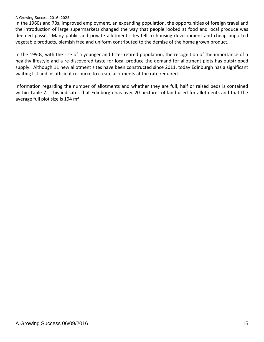#### A Growing Success 2016–2025

In the 1960s and 70s, improved employment, an expanding population, the opportunities of foreign travel and the introduction of large supermarkets changed the way that people looked at food and local produce was deemed passé. Many public and private allotment sites fell to housing development and cheap imported vegetable products, blemish free and uniform contributed to the demise of the home grown product.

In the 1990s, with the rise of a younger and fitter retired population, the recognition of the importance of a healthy lifestyle and a re-discovered taste for local produce the demand for allotment plots has outstripped supply. Although 11 new allotment sites have been constructed since 2011, today Edinburgh has a significant waiting list and insufficient resource to create allotments at the rate required.

Information regarding the number of allotments and whether they are full, half or raised beds is contained within Table 7. This indicates that Edinburgh has over 20 hectares of land used for allotments and that the average full plot size is 194 m<sup>2</sup>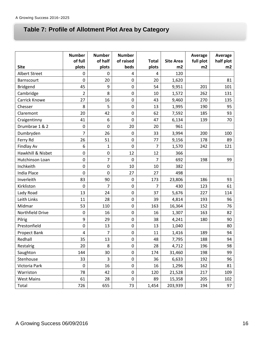# **Table 7: Profile of Allotment Plot Area by Category**

|                      | <b>Number</b>  | <b>Number</b>  | <b>Number</b>    |                |                  | Average   | Average   |
|----------------------|----------------|----------------|------------------|----------------|------------------|-----------|-----------|
|                      | of full        | of half        | of raised        | <b>Total</b>   | <b>Site Area</b> | full plot | half plot |
| <b>Site</b>          | plots          | plots          | beds             | plots          | m2               | m2        | m2        |
| <b>Albert Street</b> | 0              | $\Omega$       | 4                | 4              | 120              |           |           |
| Barnscourt           | 0              | 20             | 0                | 20             | 1,620            |           | 81        |
| Bridgend             | 45             | 9              | $\boldsymbol{0}$ | 54             | 9,951            | 201       | 101       |
| Cambridge            | $\overline{2}$ | 8              | $\boldsymbol{0}$ | 10             | 1,572            | 262       | 131       |
| Carrick Knowe        | 27             | 16             | $\boldsymbol{0}$ | 43             | 9,460            | 270       | 135       |
| Chesser              | 8              | 5              | $\mathbf 0$      | 13             | 1,995            | 190       | 95        |
| Claremont            | 20             | 42             | 0                | 62             | 7,592            | 185       | 93        |
| Craigentinny         | 41             | 6              | 0                | 47             | 6,134            | 139       | 70        |
| Drumbrae 1 & 2       | $\mathbf 0$    | $\mathbf 0$    | 20               | 20             | 961              |           |           |
| Dumbryden            | $\overline{7}$ | 26             | 0                | 33             | 3,994            | 200       | 100       |
| Ferry Rd             | 26             | 51             | $\boldsymbol{0}$ | 77             | 9,156            | 178       | 89        |
| <b>Findlay Av</b>    | 6              | $\mathbf 1$    | 0                | $\overline{7}$ | 1,570            | 242       | 121       |
| Hawkhill & Nisbet    | $\mathbf 0$    | 0              | 12               | 12             | 366              |           |           |
| Hutchinson Loan      | $\mathbf 0$    | $\overline{7}$ | 0                | $\overline{7}$ | 692              | 198       | 99        |
| Inchkeith            | 0              | $\mathbf 0$    | 10               | 10             | 382              |           |           |
| <b>India Place</b>   | $\mathbf 0$    | 0              | 27               | 27             | 498              |           |           |
| Inverleith           | 83             | 90             | 0                | 173            | 23,806           | 186       | 93        |
| Kirkliston           | $\mathbf 0$    | $\overline{7}$ | $\boldsymbol{0}$ | $\overline{7}$ | 430              | 123       | 61        |
| Lady Road            | 13             | 24             | 0                | 37             | 5,676            | 227       | 114       |
| Leith Links          | 11             | 28             | 0                | 39             | 4,814            | 193       | 96        |
| Midmar               | 53             | 110            | $\boldsymbol{0}$ | 163            | 16,364           | 152       | 76        |
| Northfield Drive     | $\mathbf 0$    | 16             | $\boldsymbol{0}$ | 16             | 1,307            | 163       | 82        |
| Pilrig               | 9              | 29             | $\boldsymbol{0}$ | 38             | 4,241            | 180       | 90        |
| Prestonfield         | 0              | 13             | 0                | 13             | 1,040            |           | 80        |
| Propect Bank         | 4              | 7              | 0                | 11             | 1,416            | 189       | 94        |
| Redhall              | 35             | 13             | $\boldsymbol{0}$ | 48             | 7,795            | 188       | 94        |
| Restalrig            | 20             | 8              | $\pmb{0}$        | 28             | 4,712            | 196       | 98        |
| Saughton             | 144            | 30             | 0                | 174            | 31,460           | 198       | 99        |
| Stenhouse            | 33             | 3              | $\pmb{0}$        | 36             | 6,633            | 192       | 96        |
| Victoria Park        | $\pmb{0}$      | 16             | $\pmb{0}$        | 16             | 1,296            | 162       | 81        |
| Warriston            | 78             | 42             | $\boldsymbol{0}$ | 120            | 21,528           | 217       | 109       |
| <b>West Mains</b>    | 61             | 28             | $\pmb{0}$        | 89             | 15,358           | 205       | 102       |
| Total                | 726            | 655            | 73               | 1,454          | 203,939          | 194       | 97        |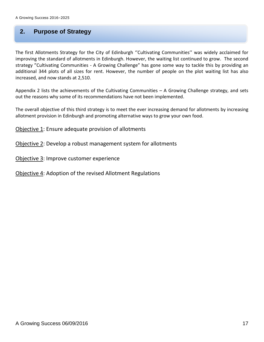# **9. 2. Purpose of Strategy**

The first Allotments Strategy for the City of Edinburgh ''Cultivating Communities'' was widely acclaimed for improving the standard of allotments in Edinburgh. However, the waiting list continued to grow. The second strategy "Cultivating Communities - A Growing Challenge" has gone some way to tackle this by providing an additional 344 plots of all sizes for rent. However, the number of people on the plot waiting list has also increased, and now stands at 2,510.

Appendix 2 lists the achievements of the Cultivating Communities  $-$  A Growing Challenge strategy, and sets out the reasons why some of its recommendations have not been implemented.

The overall objective of this third strategy is to meet the ever increasing demand for allotments by increasing allotment provision in Edinburgh and promoting alternative ways to grow your own food.

Objective 1: Ensure adequate provision of allotments

Objective 2: Develop a robust management system for allotments

Objective 3: Improve customer experience

Objective 4: Adoption of the revised Allotment Regulations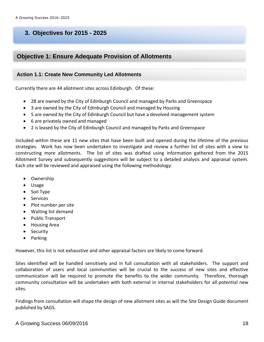# **3. Objectives for 2015 - 2025**

# **Objective 1: Ensure Adequate Provision of Allotments**

#### **Action 1.1: Create New Community Led Allotments**

Currently there are 44 allotment sites across Edinburgh. Of these:

- 28 are owned by the City of Edinburgh Council and managed by Parks and Greenspace
- 3 are owned by the City of Edinburgh Council and managed by Housing
- 5 are owned by the City of Edinburgh Council but have a devolved management system
- 6 are privately owned and managed
- 2 is leased by the City of Edinburgh Council and managed by Parks and Greenspace

Included within these are 11 new sites that have been built and opened during the lifetime of the previous strategies. Work has now been undertaken to investigate and review a further list of sites with a view to constructing more allotments. The list of sites was drafted using information gathered from the 2015 Allotment Survey and subsequently suggestions will be subject to a detailed analysis and appraisal system. Each site will be reviewed and appraised using the following methodology:

- Ownership
- Usage
- Soil Type
- Services
- Plot number per site
- Waiting list demand
- Public Transport
- Housing Area
- Security
- Parking

However, this list is not exhaustive and other appraisal factors are likely to come forward.

Sites identified will be handled sensitively and in full consultation with all stakeholders. The support and collaboration of users and local communities will be crucial to the success of new sites and effective communication will be required to promote the benefits to the wider community. Therefore, thorough community consultation will be undertaken with both external in internal stakeholders for all potential new sites.

Findings from consultation will shape the design of new allotment sites as will the Site Design Guide document published by SAGS.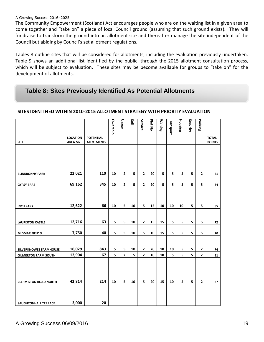#### A Growing Success 2016–2025

The Community Empowerment (Scotland) Act encourages people who are on the waiting list in a given area to come together and "take on" a piece of local Council ground (assuming that such ground exists). They will fundraise to transform the ground into an allotment site and thereafter manage the site independent of the Council but abiding by Council's set allotment regulations.

Tables 8 outline sites that will be considered for allotments, including the evaluation previously undertaken. Table 9 shows an additional list identified by the public, through the 2015 allotment consultation process, which will be subject to evaluation. These sites may be become available for groups to "take on" for the development of allotments.

# **Table 8: Sites Previously Identified As Potential Allotments**

|                               |                            |                                       | Owership | Usage                   | ios | Service        | Plot No | <b>Maiting</b> | Transport | Housing | Security | Parking                 |                               |
|-------------------------------|----------------------------|---------------------------------------|----------|-------------------------|-----|----------------|---------|----------------|-----------|---------|----------|-------------------------|-------------------------------|
| <b>SITE</b>                   | <b>LOCATION</b><br>AREA M2 | <b>POTENTIAL</b><br><b>ALLOTMENTS</b> |          |                         |     |                |         |                |           |         |          |                         | <b>TOTAL</b><br><b>POINTS</b> |
| <b>BLINKBONNY PARK</b>        | 22,021                     | 110                                   | 10       | $\mathbf{2}$            | 5   | $\mathbf{2}$   | 20      | 5              | 5         | 5       | 5        | $\overline{\mathbf{2}}$ | 61                            |
|                               |                            |                                       |          |                         |     |                |         |                |           |         |          |                         |                               |
| <b>GYPSY BRAE</b>             | 69,162                     | 345                                   | 10       | $\mathbf{2}$            | 5   | $\mathbf{2}$   | 20      | 5              | 5         | 5       | 5        | 5                       | 64                            |
| <b>INCH PARK</b>              | 12,622                     | 66                                    | 10       | 5                       | 10  | 5              | 15      | 10             | 10        | 10      | 5        | 5                       | 85                            |
|                               |                            |                                       |          |                         |     |                |         |                |           |         |          |                         |                               |
| <b>LAURISTON CASTLE</b>       | 12,716                     | 63                                    | 5        | 5                       | 10  | $\mathbf{2}$   | 15      | 15             | 5         | 5       | 5        | 5                       | 72                            |
| <b>MIDMAR FIELD 3</b>         | 7,750                      | 40                                    | 5        | 5                       | 10  | 5              | 10      | 15             | 5         | 5       | 5        | 5                       | 70                            |
|                               |                            |                                       |          |                         |     |                |         |                |           |         |          |                         |                               |
| <b>SILVERKNOWES FARMHOUSE</b> | 16,029                     | 843                                   | 5        | 5                       | 10  | $\mathbf{2}$   | 20      | 10             | 10        | 5       | 5        | 2                       | 74                            |
| <b>GILMERTON FARM SOUTH</b>   | 12,904                     | 67                                    | 5        | $\overline{\mathbf{2}}$ | 5   | $\overline{2}$ | 10      | 10             | 5         | 5       | 5        | $\overline{2}$          | 51                            |
| <b>CLERMISTON ROAD NORTH</b>  | 42,814                     | 214                                   | 10       | 5                       | 10  | 5              | 20      | 15             | 10        | 5       | 5        | $\mathbf{2}$            | 87                            |
| SAUGHTONHALL TERRACE          | 3,000                      | 20                                    |          |                         |     |                |         |                |           |         |          |                         |                               |

#### **SITES IDENTIFIED WITHIN 2010-2015 ALLOTMENT STRATEGY WITH PRIORITY EVALUATION**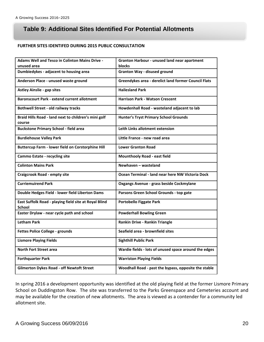# **Table 9: Additional Sites Identified For Potential Allotments**

#### **FURTHER SITES IDENTIFED DURING 2015 PUBLIC CONSULTATION**

| <b>Adams Well and Tesco in Colinton Mains Drive -</b>                  | Granton Harbour - unused land near apartment          |
|------------------------------------------------------------------------|-------------------------------------------------------|
| unused area                                                            | blocks                                                |
| Dumbiedykes - adjacent to housing area                                 | <b>Granton Way - disused ground</b>                   |
| Anderson Place - unused waste ground                                   | Greendykes area - derelict land former Council Flats  |
| <b>Astley Ainslie - gap sites</b>                                      | <b>Hailesland Park</b>                                |
| <b>Baronscourt Park - extend current allotment</b>                     | <b>Harrison Park - Watson Crescent</b>                |
| <b>Bothwell Street - old railway tracks</b>                            | Howdenhall Road - wasteland adjacent to lab           |
| Braid Hills Road - land next to children's mini golf<br>course         | <b>Hunter's Tryst Primary School Grounds</b>          |
| <b>Buckstone Primary School - field area</b>                           | Leith Links allotment extension                       |
| <b>Burdiehouse Valley Park</b>                                         | Little France - new road area                         |
| <b>Buttercup Farm - lower field on Corstorphine Hill</b>               | <b>Lower Granton Road</b>                             |
| <b>Cammo Estate - recycling site</b>                                   | <b>Mounthooly Road - east field</b>                   |
| <b>Colinton Mains Park</b>                                             | Newhaven - wasteland                                  |
| <b>Craigcrook Road - empty site</b>                                    | Ocean Terminal - land near here NW Victoria Dock      |
| <b>Curriemuirend Park</b>                                              | Oxgangs Avenue - grass beside Cockmylane              |
| Double Hedges Field - lower field Liberton Dams                        | Parsons Green School Grounds - top gate               |
| East Suffolk Road - playing field site at Royal Blind<br><b>School</b> | <b>Portobello Figgate Park</b>                        |
| Easter Drylaw - near cycle path and school                             | <b>Powderhall Bowling Green</b>                       |
| <b>Letham Park</b>                                                     | Rankin Drive - Rankin Triangle                        |
| Fettes Police College - grounds                                        | Seafield area - brownfield sites                      |
| <b>Lismore Playing Fields</b>                                          | <b>Sighthill Public Park</b>                          |
| <b>North Fort Street area</b>                                          | Wardie fields - lots of unused space around the edges |
| <b>Forthquarter Park</b>                                               | <b>Warriston Playing Fields</b>                       |
| <b>Gilmerton Dykes Road - off Newtoft Street</b>                       | Woodhall Road - past the bypass, opposite the stable  |
|                                                                        |                                                       |

In spring 2016 a development opportunity was identified at the old playing field at the former Lismore Primary School on Duddingston Row. The site was transferred to the Parks Greenspace and Cemeteries account and may be available for the creation of new allotments. The area is viewed as a contender for a community led allotment site.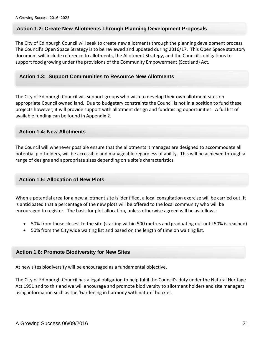#### **Action 1.2: Create New Allotments Through Planning Development Proposals**

The City of Edinburgh Council will seek to create new allotments through the planning development process. The Council's Open Space Strategy is to be reviewed and updated during 2016/17. This Open Space statutory document will include reference to allotments, the Allotment Strategy, and the Council's obligations to support food growing under the provisions of the Community Empowerment (Scotland) Act.

#### **Action 1.3: Support Communities to Resource New Allotments**

The City of Edinburgh Council will support groups who wish to develop their own allotment sites on appropriate Council owned land. Due to budgetary constraints the Council is not in a position to fund these projects however; it will provide support with allotment design and fundraising opportunities. A full list of available funding can be found in Appendix 2.

#### **Action 1.4: New Allotments**

The Council will whenever possible ensure that the allotments it manages are designed to accommodate all potential plotholders, will be accessible and manageable regardless of ability. This will be achieved through a range of designs and appropriate sizes depending on a site's characteristics.

#### **Action 1.5: Allocation of New Plots**

When a potential area for a new allotment site is identified, a local consultation exercise will be carried out. It is anticipated that a percentage of the new plots will be offered to the local community who will be encouraged to register. The basis for plot allocation, unless otherwise agreed will be as follows:

- 50% from those closest to the site (starting within 500 metres and graduating out until 50% is reached)
- 50% from the City wide waiting list and based on the length of time on waiting list.

#### **Action 1.6: Promote Biodiversity for New Sites**

At new sites biodiversity will be encouraged as a fundamental objective.

The City of Edinburgh Council has a legal obligation to help fulfil the Council's duty under the Natural Heritage Act 1991 and to this end we will encourage and promote biodiversity to allotment holders and site managers using information such as the 'Gardening in harmony with nature' booklet.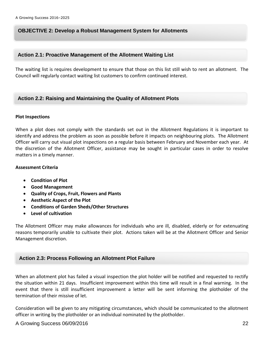#### **OBJECTIVE 2: Develop a Robust Management System for Allotments**

#### **Action 2.1: Proactive Management of the Allotment Waiting List**

The waiting list is requires development to ensure that those on this list still wish to rent an allotment. The Council will regularly contact waiting list customers to confirm continued interest.

#### **Action 2.2: Raising and Maintaining the Quality of Allotment Plots**

#### **Plot Inspections**

When a plot does not comply with the standards set out in the Allotment Regulations it is important to identify and address the problem as soon as possible before it impacts on neighbouring plots. The Allotment Officer will carry out visual plot inspections on a regular basis between February and November each year. At the discretion of the Allotment Officer, assistance may be sought in particular cases in order to resolve matters in a timely manner.

#### **Assessment Criteria**

- **Condition of Plot**
- **Good Management**
- **Quality of Crops, Fruit, Flowers and Plants**
- **Aesthetic Aspect of the Plot**
- **Conditions of Garden Sheds/Other Structures**
- **Level of cultivation**

The Allotment Officer may make allowances for individuals who are ill, disabled, elderly or for extenuating reasons temporarily unable to cultivate their plot. Actions taken will be at the Allotment Officer and Senior Management discretion.

#### **Action 2.3: Process Following an Allotment Plot Failure**

When an allotment plot has failed a visual inspection the plot holder will be notified and requested to rectify the situation within 21 days. Insufficient improvement within this time will result in a final warning. In the event that there is still insufficient improvement a letter will be sent informing the plotholder of the termination of their missive of let.

Consideration will be given to any mitigating circumstances, which should be communicated to the allotment officer in writing by the plotholder or an individual nominated by the plotholder.

#### A Growing Success 06/09/2016 22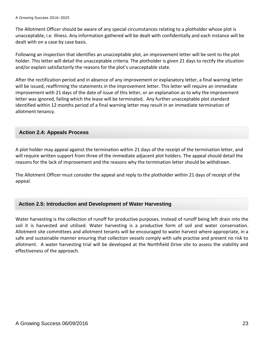The Allotment Officer should be aware of any special circumstances relating to a plotholder whose plot is unacceptable, i.e. illness. Any information gathered will be dealt with confidentially and each instance will be dealt with on a case by case basis.

Following an inspection that identifies an unacceptable plot, an improvement letter will be sent to the plot holder. This letter will detail the unacceptable criteria. The plotholder is given 21 days to rectify the situation and/or explain satisfactorily the reasons for the plot's unacceptable state.

After the rectification period and in absence of any improvement or explanatory letter, a final warning letter will be issued, reaffirming the statements in the improvement letter. This letter will require an immediate improvement with 21 days of the date of issue of this letter, or an explanation as to why the improvement letter was ignored, failing which the lease will be terminated. Any further unacceptable plot standard identified within 12 months period of a final warning letter may result in an immediate termination of allotment tenancy.

#### **Action 2.4: Appeals Process**

A plot holder may appeal against the termination within 21 days of the receipt of the termination letter, and will require written support from three of the immediate adjacent plot holders. The appeal should detail the reasons for the lack of improvement and the reasons why the termination letter should be withdrawn.

The Allotment Officer must consider the appeal and reply to the plotholder within 21 days of receipt of the appeal.

#### **Action 2.5: Introduction and Development of Water Harvesting**

Water harvesting is the collection of runoff for productive purposes. Instead of runoff being left drain into the soil it is harvested and utilised. Water harvesting is a productive form of soil and water conservation. Allotment site committees and allotment tenants will be encouraged to water harvest where appropriate, in a safe and sustainable manner ensuring that collection vessels comply with safe practise and present no risk to allotment. A water harvesting trial will be developed at the Northfield Drive site to assess the viability and effectiveness of the approach.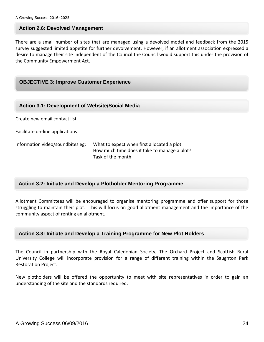#### **Action 2.6: Devolved Management**

There are a small number of sites that are managed using a devolved model and feedback from the 2015 survey suggested limited appetite for further devolvement. However, if an allotment association expressed a desire to manage their site independent of the Council the Council would support this under the provision of the Community Empowerment Act.

#### **OBJECTIVE 3: Improve Customer Experience**

| <b>Action 3.1: Development of Website/Social Media</b> |                                                                                                                 |  |  |
|--------------------------------------------------------|-----------------------------------------------------------------------------------------------------------------|--|--|
| Create new email contact list                          |                                                                                                                 |  |  |
| Facilitate on-line applications                        |                                                                                                                 |  |  |
| Information video/soundbites eg:                       | What to expect when first allocated a plot<br>How much time does it take to manage a plot?<br>Task of the month |  |  |

#### **Action 3.2: Initiate and Develop a Plotholder Mentoring Programme**

Allotment Committees will be encouraged to organise mentoring programme and offer support for those struggling to maintain their plot. This will focus on good allotment management and the importance of the community aspect of renting an allotment.

#### **Action 3.3: Initiate and Develop a Training Programme for New Plot Holders**

The Council in partnership with the Royal Caledonian Society, The Orchard Project and Scottish Rural University College will incorporate provision for a range of different training within the Saughton Park Restoration Project.

New plotholders will be offered the opportunity to meet with site representatives in order to gain an understanding of the site and the standards required.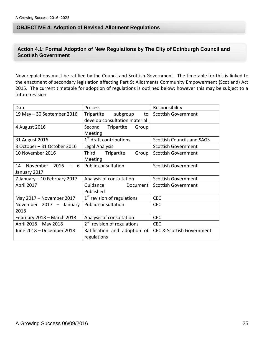#### **OBJECTIVE 4: Adoption of Revised Allotment Regulations**

#### **Action 4.1: Formal Adoption of New Regulations by The City of Edinburgh Council and Scottish Government**

New regulations must be ratified by the Council and Scottish Government. The timetable for this is linked to the enactment of secondary legislation affecting Part 9: Allotments Community Empowerment (Scotland) Act 2015. The current timetable for adoption of regulations is outlined below; however this may be subject to a future revision.

| Date                                        | Process                                                       | Responsibility                       |
|---------------------------------------------|---------------------------------------------------------------|--------------------------------------|
| 19 May - 30 September 2016                  | Tripartite<br>subgroup<br>to<br>develop consultation material | <b>Scottish Government</b>           |
| 4 August 2016                               | Second<br>Tripartite<br>Group<br>Meeting                      |                                      |
| 31 August 2016                              | 1 <sup>st</sup> draft contributions                           | <b>Scottish Councils and SAGS</b>    |
| 3 October - 31 October 2016                 | Legal Analysis                                                | <b>Scottish Government</b>           |
| 10 November 2016                            | Third<br>Tripartite<br>Group<br>Meeting                       | <b>Scottish Government</b>           |
| November<br>2016<br>14<br>6<br>January 2017 | <b>Public consultation</b>                                    | <b>Scottish Government</b>           |
| 7 January - 10 February 2017                | Analysis of consultation                                      | <b>Scottish Government</b>           |
| April 2017                                  | Guidance<br>Document  <br>Published                           | <b>Scottish Government</b>           |
| May 2017 - November 2017                    | 1 <sup>st</sup> revision of regulations                       | <b>CEC</b>                           |
| November 2017 - January<br>2018             | <b>Public consultation</b>                                    | <b>CEC</b>                           |
| February 2018 - March 2018                  | Analysis of consultation                                      | <b>CEC</b>                           |
| April 2018 - May 2018                       | 2 <sup>nd</sup> revision of regulations                       | <b>CEC</b>                           |
| June 2018 - December 2018                   | Ratification and adoption of<br>regulations                   | <b>CEC &amp; Scottish Government</b> |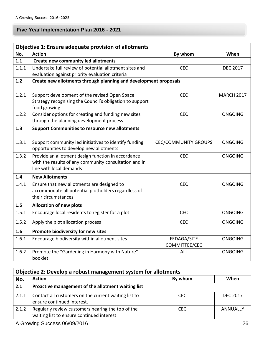# **Five Year Implementation Plan 2016 - 2021**

| Objective 1: Ensure adequate provision of allotments |                                                                          |                             |                   |  |
|------------------------------------------------------|--------------------------------------------------------------------------|-----------------------------|-------------------|--|
| No.                                                  | <b>Action</b>                                                            | By whom                     | When              |  |
| 1.1                                                  | <b>Create new community led allotments</b>                               |                             |                   |  |
| 1.1.1                                                | Undertake full review of potential allotment sites and                   | <b>CEC</b>                  | <b>DEC 2017</b>   |  |
|                                                      | evaluation against priority evaluation criteria                          |                             |                   |  |
| 1.2                                                  | Create new allotments through planning and development proposals         |                             |                   |  |
| 1.2.1                                                | Support development of the revised Open Space                            | <b>CEC</b>                  | <b>MARCH 2017</b> |  |
|                                                      | Strategy recognising the Council's obligation to support<br>food growing |                             |                   |  |
| 1.2.2                                                | Consider options for creating and funding new sites                      | <b>CEC</b>                  | <b>ONGOING</b>    |  |
|                                                      | through the planning development process                                 |                             |                   |  |
| 1.3                                                  | <b>Support Communities to resource new allotments</b>                    |                             |                   |  |
| 1.3.1                                                | Support community led initiatives to identify funding                    | <b>CEC/COMMUNITY GROUPS</b> | <b>ONGOING</b>    |  |
|                                                      | opportunities to develop new allotments                                  |                             |                   |  |
| 1.3.2                                                | Provide an allotment design function in accordance                       | <b>CEC</b>                  | <b>ONGOING</b>    |  |
|                                                      | with the results of any community consultation and in                    |                             |                   |  |
|                                                      | line with local demands                                                  |                             |                   |  |
| 1.4                                                  | <b>New Allotments</b>                                                    |                             |                   |  |
| 1.4.1                                                | Ensure that new allotments are designed to                               | <b>CEC</b>                  | <b>ONGOING</b>    |  |
|                                                      | accommodate all potential plotholders regardless of                      |                             |                   |  |
|                                                      | their circumstances                                                      |                             |                   |  |
| 1.5                                                  | <b>Allocation of new plots</b>                                           |                             |                   |  |
| 1.5.1                                                | Encourage local residents to register for a plot                         | <b>CEC</b>                  | <b>ONGOING</b>    |  |
| 1.5.2                                                | Apply the plot allocation process                                        | <b>CEC</b>                  | <b>ONGOING</b>    |  |
| 1.6                                                  | Promote biodiversity for new sites                                       |                             |                   |  |
| 1.6.1                                                | Encourage biodiversity within allotment sites                            | FEDAGA/SITE                 | <b>ONGOING</b>    |  |
|                                                      |                                                                          | COMMITTEE/CEC               |                   |  |
| 1.6.2                                                | Promote the "Gardening in Harmony with Nature"<br>booklet                | <b>ALL</b>                  | <b>ONGOING</b>    |  |

| Objective 2: Develop a robust management system for allotments |                                                                                                |            |                 |
|----------------------------------------------------------------|------------------------------------------------------------------------------------------------|------------|-----------------|
| No.                                                            | <b>Action</b>                                                                                  | By whom    | When            |
| 2.1                                                            | Proactive management of the allotment waiting list                                             |            |                 |
| 2.1.1                                                          | Contact all customers on the current waiting list to<br>ensure continued interest.             | <b>CEC</b> | <b>DEC 2017</b> |
| 2.1.2                                                          | Regularly review customers nearing the top of the<br>waiting list to ensure continued interest | <b>CFC</b> | ANNUALLY        |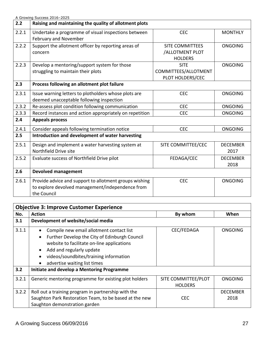|       | A Growing Success 2016-2025                             |                        |                 |
|-------|---------------------------------------------------------|------------------------|-----------------|
| 2.2   | Raising and maintaining the quality of allotment plots  |                        |                 |
| 2.2.1 | Undertake a programme of visual inspections between     | <b>CEC</b>             | <b>MONTHLY</b>  |
|       | February and November                                   |                        |                 |
| 2.2.2 | Support the allotment officer by reporting areas of     | <b>SITE COMMITTEES</b> | <b>ONGOING</b>  |
|       | concern                                                 | /ALLOTMENT PLOT        |                 |
|       |                                                         | <b>HOLDERS</b>         |                 |
| 2.2.3 | Develop a mentoring/support system for those            | <b>SITE</b>            | <b>ONGOING</b>  |
|       | struggling to maintain their plots                      | COMMITTEES/ALLOTMENT   |                 |
|       |                                                         | PLOT HOLDERS/CEC       |                 |
| 2.3   | Process following an allotment plot failure             |                        |                 |
| 2.3.1 | Issue warning letters to plotholders whose plots are    | <b>CEC</b>             | <b>ONGOING</b>  |
|       | deemed unacceptable following inspection                |                        |                 |
| 2.3.2 | Re-assess plot condition following communication        | <b>CEC</b>             | <b>ONGOING</b>  |
| 2.3.3 | Record instances and action appropriately on repetition | <b>CEC</b>             | <b>ONGOING</b>  |
| 2.4   | <b>Appeals process</b>                                  |                        |                 |
| 2.4.1 | Consider appeals following termination notice           | <b>CEC</b>             | <b>ONGOING</b>  |
| 2.5   | Introduction and development of water harvesting        |                        |                 |
| 2.5.1 | Design and implement a water harvesting system at       | SITE COMMITTEE/CEC     | <b>DECEMBER</b> |
|       | Northfield Drive site                                   |                        | 2017            |
| 2.5.2 | Evaluate success of Northfield Drive pilot              | FEDAGA/CEC             | <b>DECEMBER</b> |
|       |                                                         |                        | 2018            |
| 2.6   | <b>Devolved management</b>                              |                        |                 |
| 2.6.1 | Provide advice and support to allotment groups wishing  | <b>CEC</b>             | <b>ONGOING</b>  |
|       | to explore devolved management/independence from        |                        |                 |
|       | the Council                                             |                        |                 |
|       |                                                         |                        |                 |

| <b>Objective 3: Improve Customer Experience</b> |                                                                                                                                                                                                                                               |                                       |                         |  |
|-------------------------------------------------|-----------------------------------------------------------------------------------------------------------------------------------------------------------------------------------------------------------------------------------------------|---------------------------------------|-------------------------|--|
| No.                                             | <b>Action</b>                                                                                                                                                                                                                                 | By whom                               | When                    |  |
| 3.1                                             | Development of website/social media                                                                                                                                                                                                           |                                       |                         |  |
| 3.1.1                                           | Compile new email allotment contact list<br>Further Develop the City of Edinburgh Council<br>website to facilitate on-line applications<br>Add and regularly update<br>videos/soundbites/training information<br>advertise waiting list times | CEC/FEDAGA                            | <b>ONGOING</b>          |  |
| 3.2                                             | Initiate and develop a Mentoring Programme                                                                                                                                                                                                    |                                       |                         |  |
| 3.2.1                                           | Generic mentoring programme for existing plot holders                                                                                                                                                                                         | SITE COMMITTEE/PLOT<br><b>HOLDERS</b> | <b>ONGOING</b>          |  |
| 3.2.2                                           | Roll out a training program in partnership with the<br>Saughton Park Restoration Team, to be based at the new<br>Saughton demonstration garden                                                                                                | <b>CEC</b>                            | <b>DECEMBER</b><br>2018 |  |